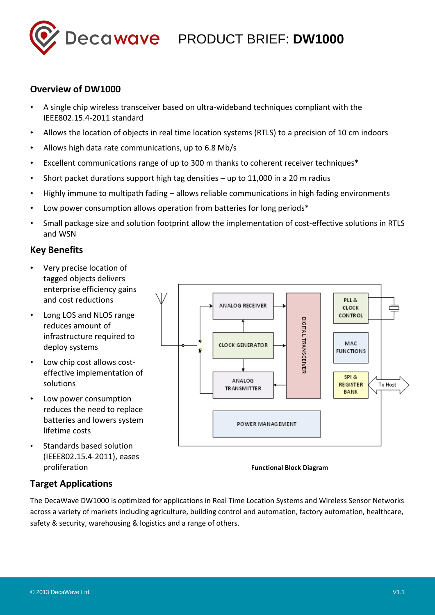

## **Overview of DW1000**

- A single chip wireless transceiver based on ultra-wideband techniques compliant with the IEEE802.15.4-2011 standard
- Allows the location of objects in real time location systems (RTLS) to a precision of 10 cm indoors
- Allows high data rate communications, up to 6.8 Mb/s
- Excellent communications range of up to 300 m thanks to coherent receiver techniques\*
- Short packet durations support high tag densities up to 11,000 in a 20 m radius
- Highly immune to multipath fading allows reliable communications in high fading environments
- Low power consumption allows operation from batteries for long periods\*
- Small package size and solution footprint allow the implementation of cost-effective solutions in RTLS and WSN

## **Key Benefits**

- Very precise location of tagged objects delivers enterprise efficiency gains and cost reductions
- Long LOS and NLOS range reduces amount of infrastructure required to deploy systems
- Low chip cost allows costeffective implementation of solutions
- Low power consumption reduces the need to replace batteries and lowers system lifetime costs
- Standards based solution (IEEE802.15.4-2011), eases proliferation



**Functional Block Diagram**

## **Target Applications**

The DecaWave DW1000 is optimized for applications in Real Time Location Systems and Wireless Sensor Networks across a variety of markets including agriculture, building control and automation, factory automation, healthcare, safety & security, warehousing & logistics and a range of others.